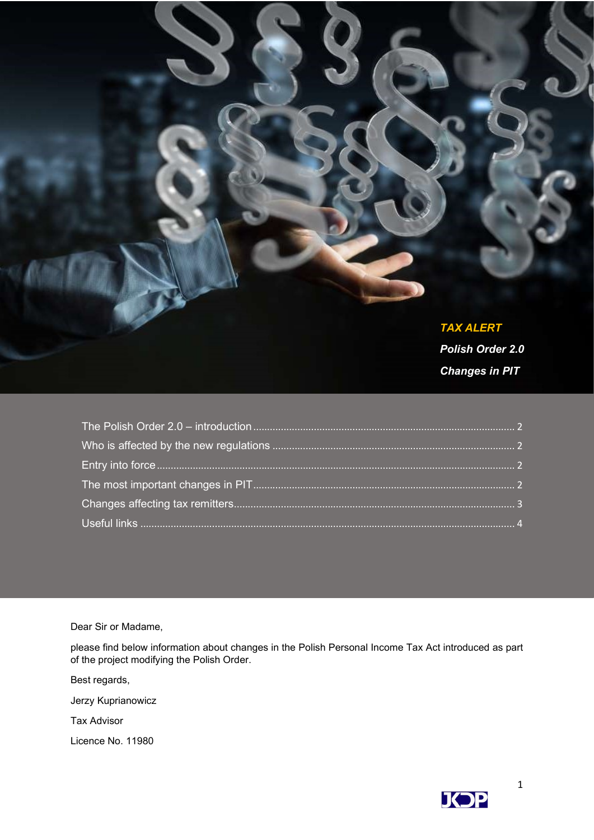#### TAX ALERT

Polish Order 2.0 Changes in PIT

Dear Sir or Madame,

please find below information about changes in the Polish Personal Income Tax Act introduced as part of the project modifying the Polish Order.

Best regards,

Jerzy Kuprianowicz

Tax Advisor

Licence No. 11980

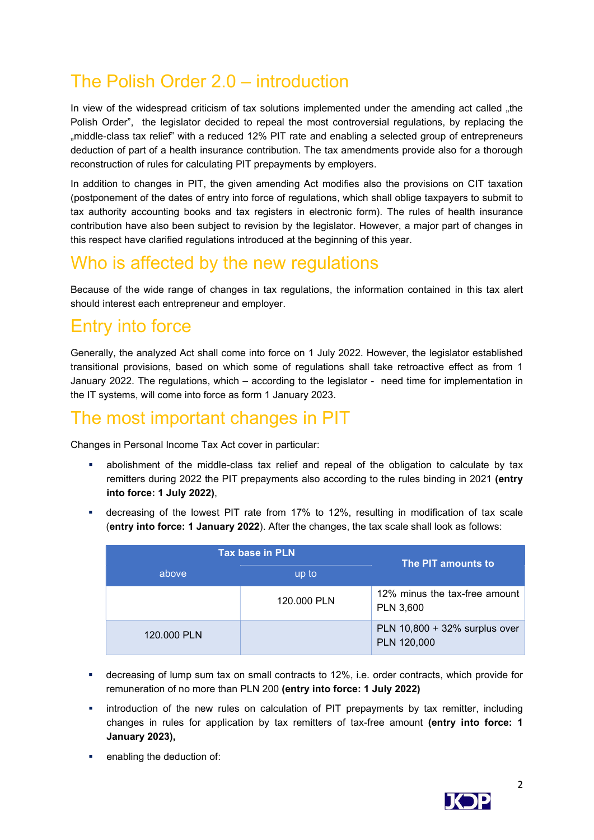# The Polish Order 2.0 – introduction

In view of the widespread criticism of tax solutions implemented under the amending act called .the Polish Order", the legislator decided to repeal the most controversial regulations, by replacing the "middle-class tax relief" with a reduced 12% PIT rate and enabling a selected group of entrepreneurs deduction of part of a health insurance contribution. The tax amendments provide also for a thorough reconstruction of rules for calculating PIT prepayments by employers.

In addition to changes in PIT, the given amending Act modifies also the provisions on CIT taxation (postponement of the dates of entry into force of regulations, which shall oblige taxpayers to submit to tax authority accounting books and tax registers in electronic form). The rules of health insurance contribution have also been subject to revision by the legislator. However, a major part of changes in this respect have clarified regulations introduced at the beginning of this year.

# Who is affected by the new regulations

Because of the wide range of changes in tax regulations, the information contained in this tax alert should interest each entrepreneur and employer.

### Entry into force

Generally, the analyzed Act shall come into force on 1 July 2022. However, the legislator established transitional provisions, based on which some of regulations shall take retroactive effect as from 1 January 2022. The regulations, which – according to the legislator - need time for implementation in the IT systems, will come into force as form 1 January 2023.

#### The most important changes in PIT

Changes in Personal Income Tax Act cover in particular:

- abolishment of the middle-class tax relief and repeal of the obligation to calculate by tax remitters during 2022 the PIT prepayments also according to the rules binding in 2021 (entry into force: 1 July 2022),
- decreasing of the lowest PIT rate from 17% to 12%, resulting in modification of tax scale (entry into force: 1 January 2022). After the changes, the tax scale shall look as follows:

|             | <b>Tax base in PLN</b> | The PIT amounts to                                |  |
|-------------|------------------------|---------------------------------------------------|--|
| above       | up to                  |                                                   |  |
|             | 120,000 PLN            | 12% minus the tax-free amount<br><b>PLN 3,600</b> |  |
| 120,000 PLN |                        | PLN 10,800 + 32% surplus over<br>PLN 120,000      |  |

- decreasing of lump sum tax on small contracts to 12%, i.e. order contracts, which provide for remuneration of no more than PLN 200 (entry into force: 1 July 2022)
- introduction of the new rules on calculation of PIT prepayments by tax remitter, including changes in rules for application by tax remitters of tax-free amount (entry into force: 1 January 2023),
- enabling the deduction of:

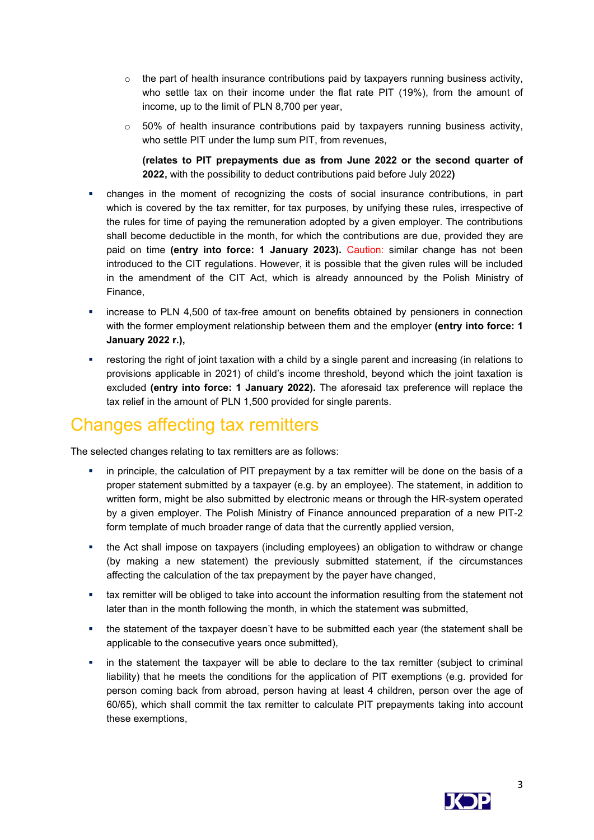- $\circ$  the part of health insurance contributions paid by taxpayers running business activity, who settle tax on their income under the flat rate PIT (19%), from the amount of income, up to the limit of PLN 8,700 per year,
- $\circ$  50% of health insurance contributions paid by taxpayers running business activity, who settle PIT under the lump sum PIT, from revenues,

(relates to PIT prepayments due as from June 2022 or the second quarter of 2022, with the possibility to deduct contributions paid before July 2022)

- changes in the moment of recognizing the costs of social insurance contributions, in part which is covered by the tax remitter, for tax purposes, by unifying these rules, irrespective of the rules for time of paying the remuneration adopted by a given employer. The contributions shall become deductible in the month, for which the contributions are due, provided they are paid on time (entry into force: 1 January 2023). Caution: similar change has not been introduced to the CIT regulations. However, it is possible that the given rules will be included in the amendment of the CIT Act, which is already announced by the Polish Ministry of Finance,
- **EXECT** increase to PLN 4,500 of tax-free amount on benefits obtained by pensioners in connection with the former employment relationship between them and the employer (entry into force: 1 January 2022 r.),
- **•** restoring the right of joint taxation with a child by a single parent and increasing (in relations to provisions applicable in 2021) of child's income threshold, beyond which the joint taxation is excluded (entry into force: 1 January 2022). The aforesaid tax preference will replace the tax relief in the amount of PLN 1,500 provided for single parents.

### Changes affecting tax remitters

The selected changes relating to tax remitters are as follows:

- in principle, the calculation of PIT prepayment by a tax remitter will be done on the basis of a proper statement submitted by a taxpayer (e.g. by an employee). The statement, in addition to written form, might be also submitted by electronic means or through the HR-system operated by a given employer. The Polish Ministry of Finance announced preparation of a new PIT-2 form template of much broader range of data that the currently applied version,
- the Act shall impose on taxpayers (including employees) an obligation to withdraw or change (by making a new statement) the previously submitted statement, if the circumstances affecting the calculation of the tax prepayment by the payer have changed,
- tax remitter will be obliged to take into account the information resulting from the statement not later than in the month following the month, in which the statement was submitted,
- the statement of the taxpayer doesn't have to be submitted each year (the statement shall be applicable to the consecutive years once submitted),
- in the statement the taxpayer will be able to declare to the tax remitter (subject to criminal liability) that he meets the conditions for the application of PIT exemptions (e.g. provided for person coming back from abroad, person having at least 4 children, person over the age of 60/65), which shall commit the tax remitter to calculate PIT prepayments taking into account these exemptions,